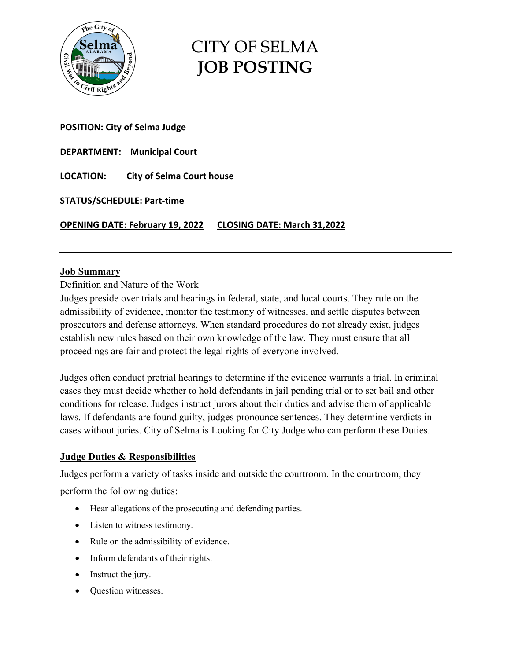

# CITY OF SELMA **JOB POSTING**

## **POSITION: City of Selma Judge**

**DEPARTMENT: Municipal Court** 

**LOCATION: City of Selma Court house** 

**STATUS/SCHEDULE: Part-time** 

**OPENING DATE: February 19, 2022 CLOSING DATE: March 31,2022** 

#### **Job Summary**

Definition and Nature of the Work

Judges preside over trials and hearings in federal, state, and local courts. They rule on the admissibility of evidence, monitor the testimony of witnesses, and settle disputes between prosecutors and defense attorneys. When standard procedures do not already exist, judges establish new rules based on their own knowledge of the law. They must ensure that all proceedings are fair and protect the legal rights of everyone involved.

Judges often conduct pretrial hearings to determine if the evidence warrants a trial. In criminal cases they must decide whether to hold defendants in jail pending trial or to set bail and other conditions for release. Judges instruct jurors about their duties and advise them of applicable laws. If defendants are found guilty, judges pronounce sentences. They determine verdicts in cases without juries. City of Selma is Looking for City Judge who can perform these Duties.

## **Judge Duties & Responsibilities**

Judges perform a variety of tasks inside and outside the courtroom. In the courtroom, they perform the following duties:

- Hear allegations of the prosecuting and defending parties.
- Listen to witness testimony.
- Rule on the admissibility of evidence.
- Inform defendants of their rights.
- Instruct the jury.
- Question witnesses.